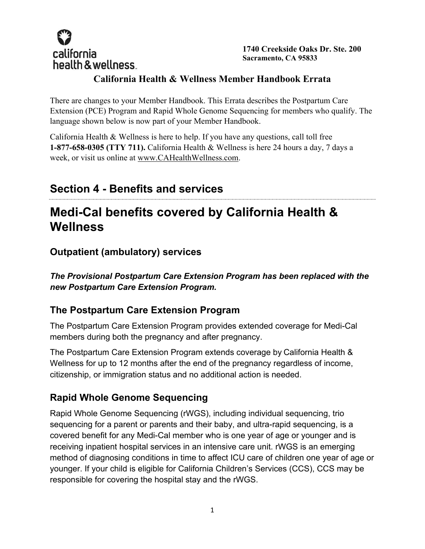

**1740 Creekside Oaks Dr. Ste. 200 Sacramento, CA 95833** 

#### **California Health & Wellness Member Handbook Errata**

There are changes to your Member Handbook. This Errata describes the Postpartum Care Extension (PCE) Program and Rapid Whole Genome Sequencing for members who qualify. The language shown below is now part of your Member Handbook.

California Health & Wellness is here to help. If you have any questions, call toll free **1-877-658-0305 (TTY 711).** California Health & Wellness is here 24 hours a day, 7 days a week, or visit us online at www.CAHealthWellness.com.

### **Section 4 - Benefits and services**

# **Medi-Cal benefits covered by California Health & Wellness**

**Outpatient (ambulatory) services** 

*The Provisional Postpartum Care Extension Program has been replaced with the new Postpartum Care Extension Program.* 

#### **The Postpartum Care Extension Program**

The Postpartum Care Extension Program provides extended coverage for Medi-Cal members during both the pregnancy and after pregnancy.

The Postpartum Care Extension Program extends coverage by California Health & Wellness for up to 12 months after the end of the pregnancy regardless of income, citizenship, or immigration status and no additional action is needed.

### **Rapid Whole Genome Sequencing**

Rapid Whole Genome Sequencing (rWGS), including individual sequencing, trio sequencing for a parent or parents and their baby, and ultra-rapid sequencing, is a covered benefit for any Medi-Cal member who is one year of age or younger and is receiving inpatient hospital services in an intensive care unit. rWGS is an emerging method of diagnosing conditions in time to affect ICU care of children one year of age or younger. If your child is eligible for California Children's Services (CCS), CCS may be responsible for covering the hospital stay and the rWGS.